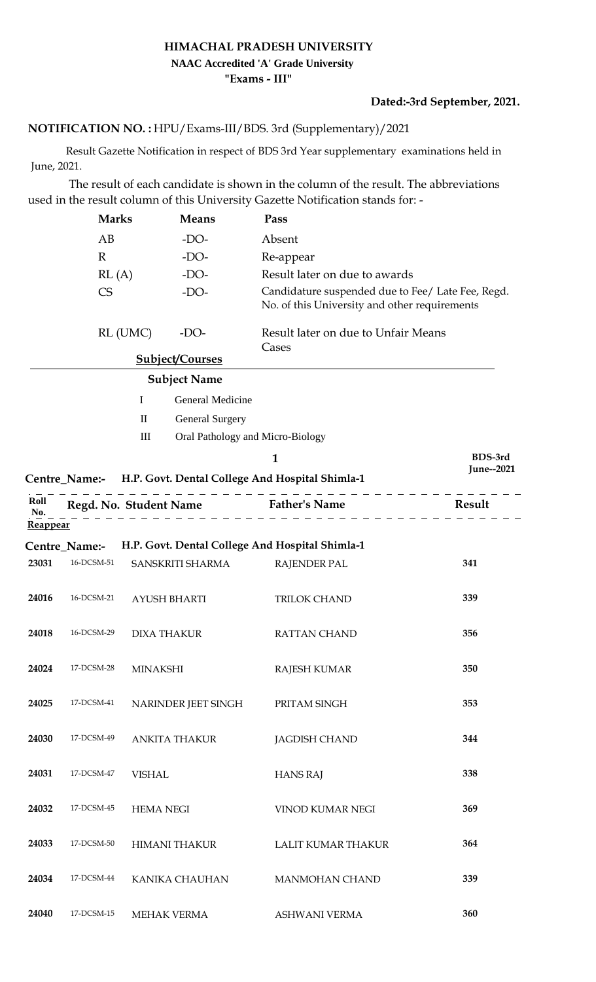## **HIMACHAL PRADESH UNIVERSITY "Exams - III" NAAC Accredited 'A' Grade University**

**Dated:-3rd September, 2021.**

## **NOTIFICATION NO. :** HPU/Exams-III/BDS. 3rd (Supplementary)/2021

 Result Gazette Notification in respect of BDS 3rd Year supplementary examinations held in June, 2021.

 The result of each candidate is shown in the column of the result. The abbreviations used in the result column of this University Gazette Notification stands for: -

|                         | <b>Marks</b>                              |                             | <b>Means</b><br>$-DO-$ | Pass                                                          |                                                                                                    |  |  |
|-------------------------|-------------------------------------------|-----------------------------|------------------------|---------------------------------------------------------------|----------------------------------------------------------------------------------------------------|--|--|
|                         | AB                                        |                             |                        | Absent                                                        |                                                                                                    |  |  |
|                         | $\mathbb{R}$                              |                             | $-DO-$                 | Re-appear                                                     |                                                                                                    |  |  |
|                         | RL(A)                                     |                             | $-DO-$                 | Result later on due to awards                                 |                                                                                                    |  |  |
|                         | <b>CS</b><br>$-DO-$<br>RL (UMC)<br>$-DO-$ |                             |                        |                                                               | Candidature suspended due to Fee/ Late Fee, Regd.<br>No. of this University and other requirements |  |  |
|                         |                                           |                             |                        | Result later on due to Unfair Means<br>Cases                  |                                                                                                    |  |  |
|                         |                                           |                             | <b>Subject/Courses</b> |                                                               |                                                                                                    |  |  |
|                         |                                           |                             | <b>Subject Name</b>    |                                                               |                                                                                                    |  |  |
|                         |                                           | $\mathbf I$                 | General Medicine       |                                                               |                                                                                                    |  |  |
|                         |                                           | $\mathbf{I}$                | <b>General Surgery</b> |                                                               |                                                                                                    |  |  |
|                         |                                           | $\mathop{\rm III}\nolimits$ |                        | Oral Pathology and Micro-Biology                              |                                                                                                    |  |  |
|                         |                                           |                             |                        | 1                                                             | BDS-3rd                                                                                            |  |  |
|                         |                                           |                             |                        | Centre_Name:- H.P. Govt. Dental College And Hospital Shimla-1 | June--2021                                                                                         |  |  |
| Roll<br>No.<br>Reappear |                                           |                             |                        | Regd. No. Student Name Father's Name                          | Result                                                                                             |  |  |
|                         | Centre_Name:-                             |                             |                        | H.P. Govt. Dental College And Hospital Shimla-1               |                                                                                                    |  |  |
| 23031                   | 16-DCSM-51                                |                             | SANSKRITI SHARMA       | <b>RAJENDER PAL</b>                                           | 341                                                                                                |  |  |
| 24016                   | 16-DCSM-21                                | <b>AYUSH BHARTI</b>         |                        | TRILOK CHAND                                                  | 339                                                                                                |  |  |
| 24018                   | 16-DCSM-29                                | <b>DIXA THAKUR</b>          |                        | <b>RATTAN CHAND</b>                                           | 356                                                                                                |  |  |
| 24024                   | 17-DCSM-28                                | MINAKSHI                    |                        | <b>RAJESH KUMAR</b>                                           | 350                                                                                                |  |  |
| 24025                   | 17-DCSM-41                                | NARINDER JEET SINGH         |                        | PRITAM SINGH                                                  | 353                                                                                                |  |  |
| 24030                   | 17-DCSM-49                                | <b>ANKITA THAKUR</b>        |                        | <b>JAGDISH CHAND</b>                                          | 344                                                                                                |  |  |
| 24031                   | 17-DCSM-47                                | <b>VISHAL</b>               |                        | <b>HANS RAJ</b>                                               | 338                                                                                                |  |  |
| 24032                   | 17-DCSM-45                                | <b>HEMA NEGI</b>            |                        | VINOD KUMAR NEGI                                              | 369                                                                                                |  |  |
| 24033                   | 17-DCSM-50                                | <b>HIMANI THAKUR</b>        |                        | LALIT KUMAR THAKUR                                            | 364                                                                                                |  |  |
| 24034                   | 17-DCSM-44                                |                             | KANIKA CHAUHAN         | <b>MANMOHAN CHAND</b>                                         | 339                                                                                                |  |  |
| 24040                   | 17-DCSM-15                                |                             | <b>MEHAK VERMA</b>     | ASHWANI VERMA                                                 | 360                                                                                                |  |  |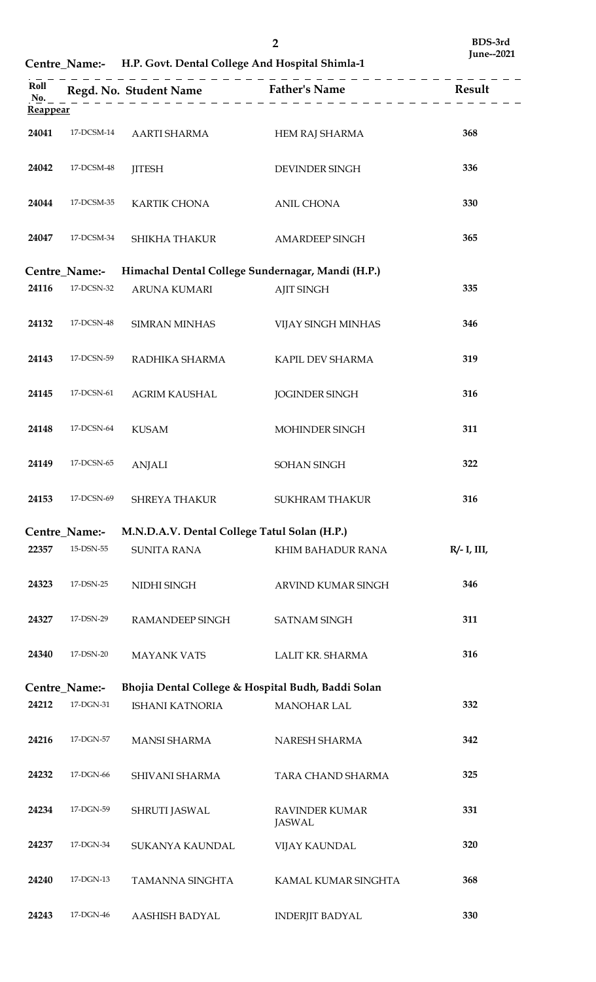**Centre\_Name:- H.P. Govt. Dental College And Hospital Shimla-1**

| Roll<br>No. |                                                                    |                                                    |                                        |                |  |  |  |
|-------------|--------------------------------------------------------------------|----------------------------------------------------|----------------------------------------|----------------|--|--|--|
| Reappear    |                                                                    |                                                    |                                        |                |  |  |  |
| 24041       | 17-DCSM-14                                                         | AARTI SHARMA                                       | HEM RAJ SHARMA                         | 368            |  |  |  |
| 24042       | 17-DCSM-48                                                         | <b>JITESH</b>                                      | DEVINDER SINGH                         | 336            |  |  |  |
| 24044       | 17-DCSM-35                                                         | KARTIK CHONA                                       | <b>ANIL CHONA</b>                      | 330            |  |  |  |
| 24047       | 17-DCSM-34                                                         | <b>SHIKHA THAKUR</b>                               | <b>AMARDEEP SINGH</b>                  | 365            |  |  |  |
|             | Himachal Dental College Sundernagar, Mandi (H.P.)<br>Centre_Name:- |                                                    |                                        |                |  |  |  |
| 24116       | 17-DCSN-32                                                         |                                                    |                                        |                |  |  |  |
|             |                                                                    | <b>ARUNA KUMARI</b>                                | <b>AJIT SINGH</b>                      | 335            |  |  |  |
| 24132       | 17-DCSN-48                                                         | <b>SIMRAN MINHAS</b>                               | VIJAY SINGH MINHAS                     | 346            |  |  |  |
| 24143       | 17-DCSN-59                                                         | RADHIKA SHARMA                                     | KAPIL DEV SHARMA                       | 319            |  |  |  |
| 24145       | 17-DCSN-61                                                         | <b>AGRIM KAUSHAL</b>                               | <b>JOGINDER SINGH</b>                  | 316            |  |  |  |
| 24148       | 17-DCSN-64                                                         | <b>KUSAM</b>                                       | MOHINDER SINGH                         | 311            |  |  |  |
| 24149       | $17-DCSN-65$                                                       | <b>ANJALI</b>                                      | SOHAN SINGH                            | 322            |  |  |  |
| 24153       | 17-DCSN-69                                                         | SHREYA THAKUR                                      | <b>SUKHRAM THAKUR</b>                  | 316            |  |  |  |
|             | <b>Centre Name:-</b>                                               | M.N.D.A.V. Dental College Tatul Solan (H.P.)       |                                        |                |  |  |  |
| 22357       | 15-DSN-55                                                          | <b>SUNITA RANA</b>                                 | KHIM BAHADUR RANA                      | $R/- I$ , III, |  |  |  |
| 24323       | 17-DSN-25                                                          | NIDHI SINGH                                        | ARVIND KUMAR SINGH                     | 346            |  |  |  |
| 24327       | 17-DSN-29                                                          | <b>RAMANDEEP SINGH</b>                             | <b>SATNAM SINGH</b>                    | 311            |  |  |  |
| 24340       | 17-DSN-20                                                          | <b>MAYANK VATS</b>                                 | LALIT KR. SHARMA                       | 316            |  |  |  |
|             | <b>Centre_Name:-</b>                                               | Bhojia Dental College & Hospital Budh, Baddi Solan |                                        |                |  |  |  |
| 24212       | 17-DGN-31                                                          | <b>ISHANI KATNORIA</b>                             | <b>MANOHAR LAL</b>                     | 332            |  |  |  |
|             |                                                                    |                                                    |                                        |                |  |  |  |
| 24216       | 17-DGN-57                                                          | <b>MANSI SHARMA</b>                                | NARESH SHARMA                          | 342            |  |  |  |
| 24232       | 17-DGN-66                                                          | SHIVANI SHARMA                                     | TARA CHAND SHARMA                      | 325            |  |  |  |
| 24234       | 17-DGN-59                                                          | SHRUTI JASWAL                                      | <b>RAVINDER KUMAR</b><br><b>JASWAL</b> | 331            |  |  |  |
| 24237       | 17-DGN-34                                                          | SUKANYA KAUNDAL                                    | <b>VIJAY KAUNDAL</b>                   | 320            |  |  |  |
| 24240       | 17-DGN-13                                                          | TAMANNA SINGHTA                                    | KAMAL KUMAR SINGHTA                    | 368            |  |  |  |
| 24243       | 17-DGN-46                                                          | AASHISH BADYAL                                     | <b>INDERJIT BADYAL</b>                 | 330            |  |  |  |